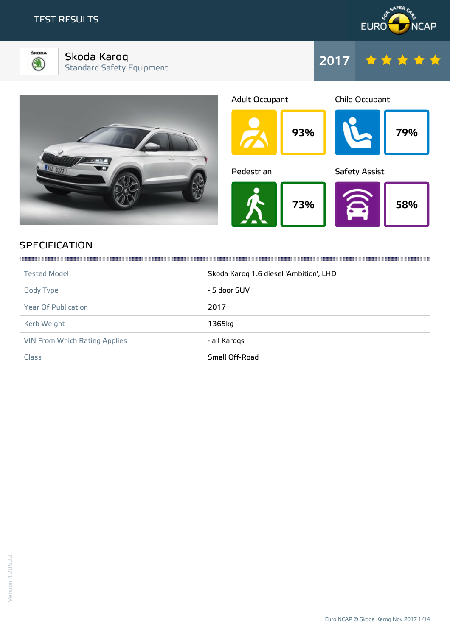



Skoda Karoq Standard Safety Equipment



| <b>Adult Occupant</b> |     | Child Occupant       |     |
|-----------------------|-----|----------------------|-----|
|                       | 93% |                      | 79% |
| Pedestrian            |     | <b>Safety Assist</b> |     |
|                       | 73% |                      | 58% |

2017

# **SPECIFICATION**

| <b>Tested Model</b>           | Skoda Karoq 1.6 diesel 'Ambition', LHD |
|-------------------------------|----------------------------------------|
| Body Type                     | - 5 door SUV                           |
| Year Of Publication           | 2017                                   |
| Kerb Weight                   | 1365kg                                 |
| VIN From Which Rating Applies | - all Karogs                           |
| Class                         | Small Off-Road                         |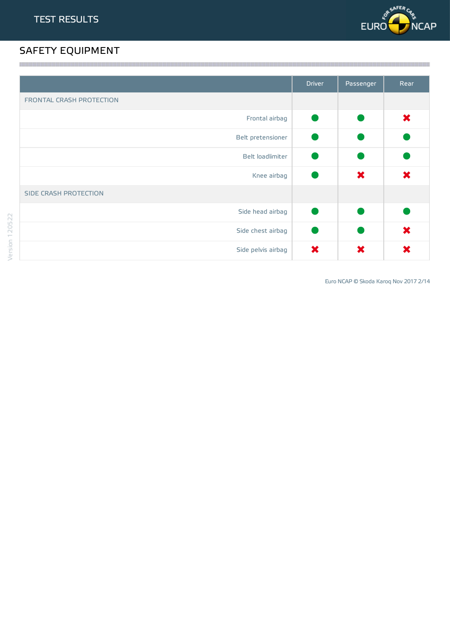

# SAFETY EQUIPMENT

|                                 | <b>Driver</b> | Passenger | Rear |
|---------------------------------|---------------|-----------|------|
| <b>FRONTAL CRASH PROTECTION</b> |               |           |      |
| Frontal airbag                  |               |           | ×    |
| Belt pretensioner               |               |           |      |
| Belt loadlimiter                |               |           |      |
| Knee airbag                     |               | ×         | ×    |
| SIDE CRASH PROTECTION           |               |           |      |
| Side head airbag                |               |           |      |
| Side chest airbag               |               |           | ×    |
| Side pelvis airbag              | ×             | ×         | ×    |

Euro NCAP © Skoda Karoq Nov 2017 2/14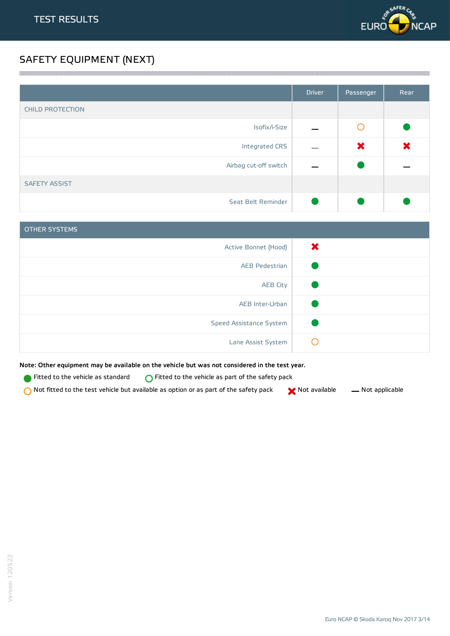

# SAFETY EQUIPMENT (NEXT)

|                         | <b>Driver</b> | Passenger | Rear |
|-------------------------|---------------|-----------|------|
| <b>CHILD PROTECTION</b> |               |           |      |
| Isofix/i-Size           |               | O         |      |
| Integrated CRS          |               | ×         | ×    |
| Airbag cut-off switch   |               |           |      |
| <b>SAFETY ASSIST</b>    |               |           |      |
| Seat Belt Reminder      |               |           |      |

a series and the contract of the contract of the contract of the contract of the contract of the contract of the

| <b>OTHER SYSTEMS</b>    |   |
|-------------------------|---|
| Active Bonnet (Hood)    | × |
| AEB Pedestrian          |   |
| <b>AEB City</b>         |   |
| AEB Inter-Urban         |   |
| Speed Assistance System |   |
| Lane Assist System      |   |

Note: Other equipment may be available on the vehicle but was not considered in the test year.

**Fitted to the vehicle as standard**  $\bigcirc$  Fitted to the vehicle as part of the safety pack

 $\bigcirc$  Not fitted to the test vehicle but available as option or as part of the safety pack  $\bigcirc$  Not available  $\qquad$  Not applicable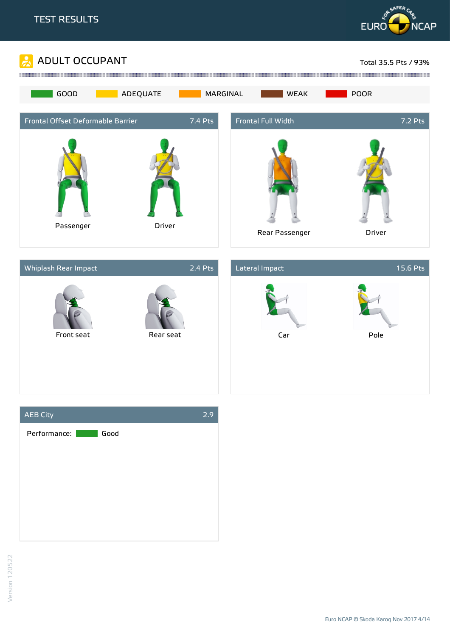



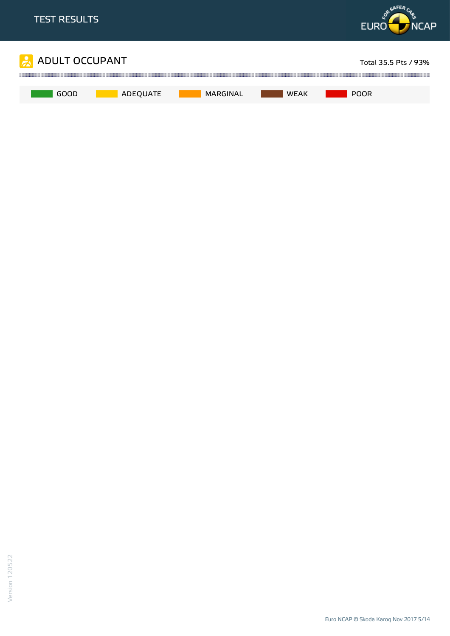

Euro NCAP © Skoda Karoq Nov 2017 5/14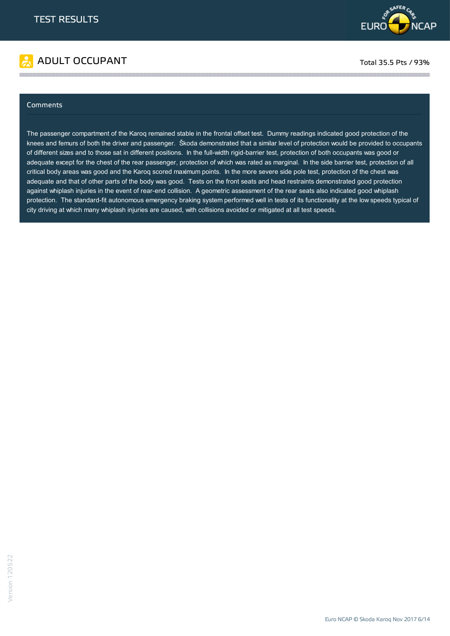

# ADULT OCCUPANT TO A RESERVE TO A RESERVE TO A RESERVE TOTAL 35.5 Pts / 93%

#### Comments

The passenger compartment of the Karoq remained stable in the frontal offset test. Dummy readings indicated good protection of the knees and femurs of both the driver and passenger. Škoda demonstrated that a similar level of protection would be provided to occupants of different sizes and to those sat in different positions. In the full-width rigid-barrier test, protection of both occupants was good or adequate except for the chest of the rear passenger, protection of which was rated as marginal. In the side barrier test, protection of all critical body areas was good and the Karoq scored maximum points. In the more severe side pole test, protection of the chest was adequate and that of other parts of the body was good. Tests on the front seats and head restraints demonstrated good protection against whiplash injuries in the event of rear-end collision. A geometric assessment of the rear seats also indicated good whiplash protection. The standard-fit autonomous emergency braking system performed well in tests of its functionality at the low speeds typical of city driving at which many whiplash injuries are caused, with collisions avoided or mitigated at all test speeds.

the contract of the contract of the contract of the contract of the contract of the contract of the contract of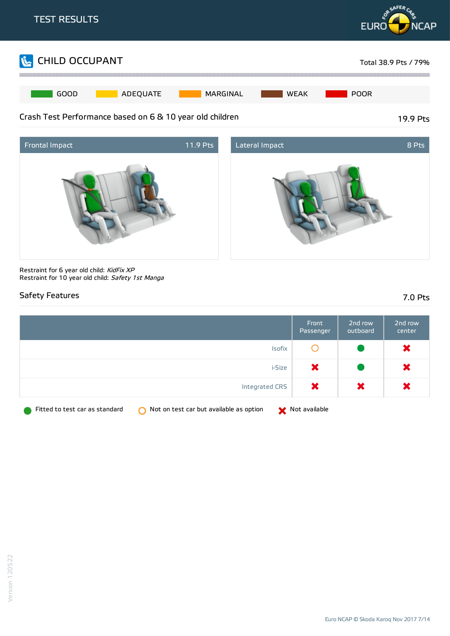





Restraint for 6 year old child: KidFix XP Restraint for 10 year old child: Safety 1st Manga

### Safety Features 7.0 Pts

|                                                                                | Front<br>Passenger | 2nd row<br>outboard | 2nd row<br>center |
|--------------------------------------------------------------------------------|--------------------|---------------------|-------------------|
| Isofix                                                                         |                    |                     | $\bm{\times}$     |
| i-Size                                                                         | ×                  |                     | $\bm{\times}$     |
| Integrated CRS                                                                 | $\bm{x}$           | ×                   | $\bm{x}$          |
| Fitted to test car as standard<br>Not on test car but available as option<br>∩ | Not available      |                     |                   |

Euro NCAP © Skoda Karoq Nov 2017 7/14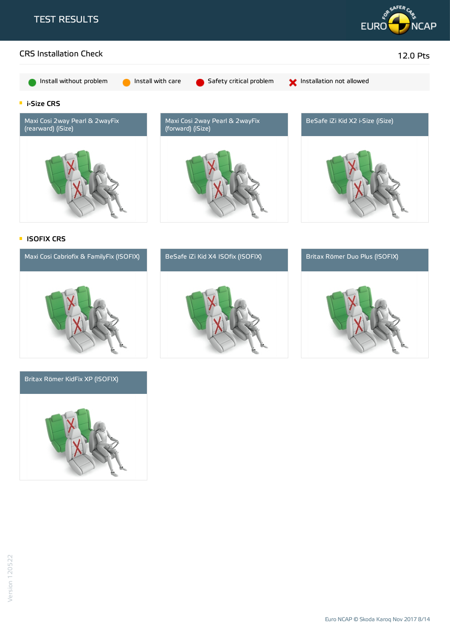





#### Britax Römer KidFix XP (ISOFIX)





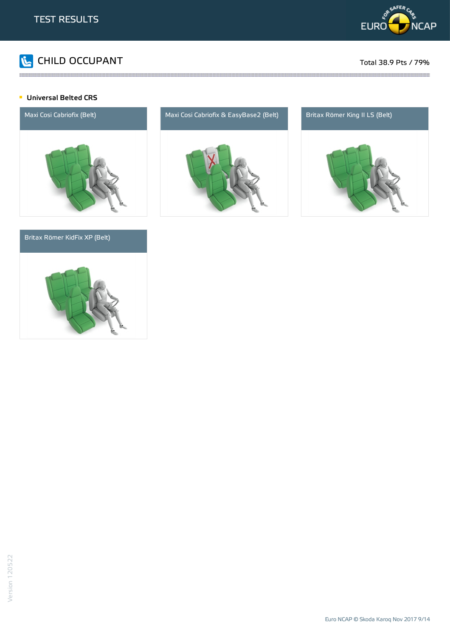

# CHILD OCCUPANT Total 38.9 Pts / 79%

#### **Universal Belted CRS**



#### Britax Römer KidFix XP (Belt)





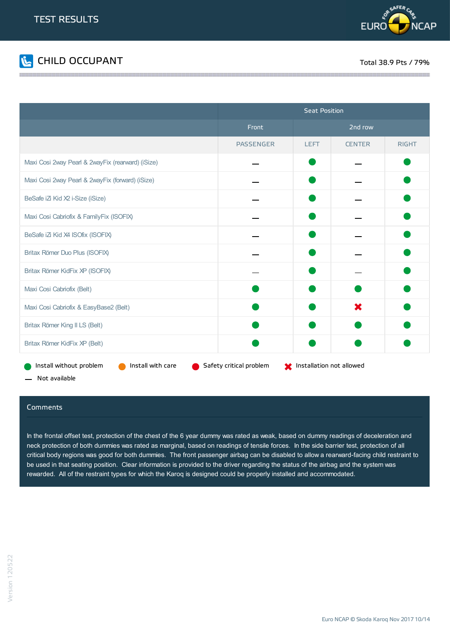



|                                                   | <b>Seat Position</b>    |                          |               |              |
|---------------------------------------------------|-------------------------|--------------------------|---------------|--------------|
|                                                   | Front                   |                          | 2nd row       |              |
|                                                   | <b>PASSENGER</b>        | <b>LEFT</b>              | <b>CENTER</b> | <b>RIGHT</b> |
| Maxi Cosi 2way Pearl & 2wayFix (rearward) (iSize) |                         |                          |               |              |
| Maxi Cosi 2way Pearl & 2wayFix (forward) (iSize)  |                         |                          |               |              |
| BeSafe iZi Kid X2 i-Size (iSize)                  |                         |                          |               |              |
| Maxi Cosi Cabriofix & FamilyFix (ISOFIX)          |                         |                          |               |              |
| BeSafe iZi Kid X4 ISOfix (ISOFIX)                 |                         |                          |               |              |
| Britax Römer Duo Plus (ISOFIX)                    |                         |                          |               |              |
| Britax Römer KidFix XP (ISOFIX)                   |                         |                          |               |              |
| Maxi Cosi Cabriofix (Belt)                        |                         |                          |               |              |
| Maxi Cosi Cabriofix & EasyBase2 (Belt)            |                         |                          | ×             |              |
| Britax Römer King II LS (Belt)                    |                         |                          |               |              |
| Britax Römer KidFix XP (Belt)                     |                         |                          |               |              |
| Install without problem<br>Install with care      | Safety critical problem | Installation not allowed |               |              |

the contract of the contract of the contract of the contract of the contract of the contract of the contract of

Not available

#### **Comments**

In the frontal offset test, protection of the chest of the 6 year dummy was rated as weak, based on dummy readings of deceleration and neck protection of both dummies was rated as marginal, based on readings of tensile forces. In the side barrier test, protection of all critical body regions was good for both dummies. The front passenger airbag can be disabled to allow a rearward-facing child restraint to be used in that seating position. Clear information is provided to the driver regarding the status of the airbag and the system was rewarded. All of the restraint types for which the Karoq is designed could be properly installed and accommodated.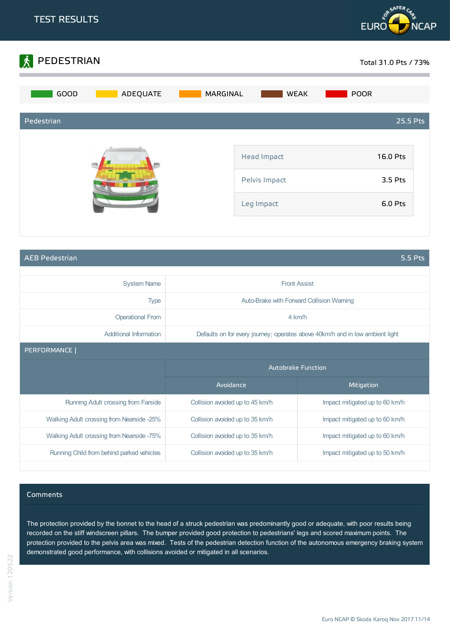



AEB Pedestrian 5.5 Pts

| <b>System Name</b>                        |                                                                               | <b>Front Assist</b>            |  |  |
|-------------------------------------------|-------------------------------------------------------------------------------|--------------------------------|--|--|
| <b>Type</b>                               | Auto-Brake with Forward Collision Warning                                     |                                |  |  |
| <b>Operational From</b>                   |                                                                               | $4 \text{ km/h}$               |  |  |
| Additional Information                    | Defaults on for every journey; operates above 40km/h and in low ambient light |                                |  |  |
| PERFORMANCE                               |                                                                               |                                |  |  |
|                                           | <b>Autobrake Function</b>                                                     |                                |  |  |
|                                           |                                                                               |                                |  |  |
|                                           | Avoidance                                                                     | Mitigation                     |  |  |
| Running Adult crossing from Farside       | Collision avoided up to 45 km/h                                               | Impact mitigated up to 60 km/h |  |  |
| Walking Adult crossing from Nearside -25% | Collision avoided up to 35 km/h                                               | Impact mitigated up to 60 km/h |  |  |
| Walking Adult crossing from Nearside -75% | Collision avoided up to 35 km/h                                               | Impact mitigated up to 60 km/h |  |  |

#### Comments

The protection provided by the bonnet to the head of a struck pedestrian was predominantly good or adequate, with poor results being recorded on the stiff windscreen pillars. The bumper provided good protection to pedestrians' legs and scored maximum points. The protection provided to the pelvis area was mixed. Tests of the pedestrian detection function of the autonomous emergency braking system demonstrated good performance, with collisions avoided or mitigated in all scenarios.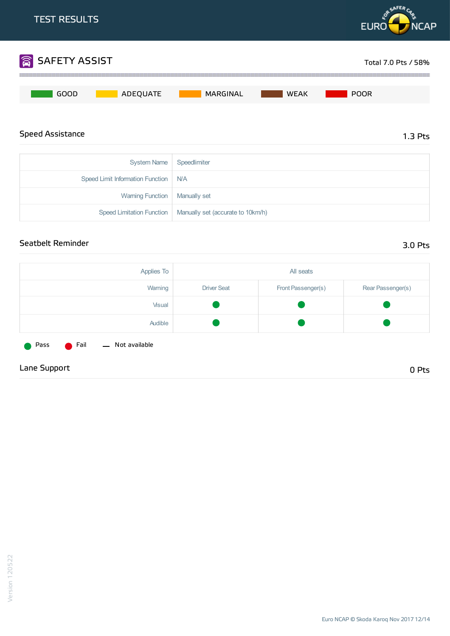

#### Seatbelt Reminder 3.0 Pts

| Applies To                                            |                    | All seats          |                   |
|-------------------------------------------------------|--------------------|--------------------|-------------------|
| Warning                                               | <b>Driver Seat</b> | Front Passenger(s) | Rear Passenger(s) |
| Visual                                                |                    |                    |                   |
| Audible                                               |                    |                    |                   |
| - Not available<br><b>C</b> Fail<br>Pass<br>$\bullet$ |                    |                    |                   |
| Lane Support                                          |                    |                    | 0 Pts             |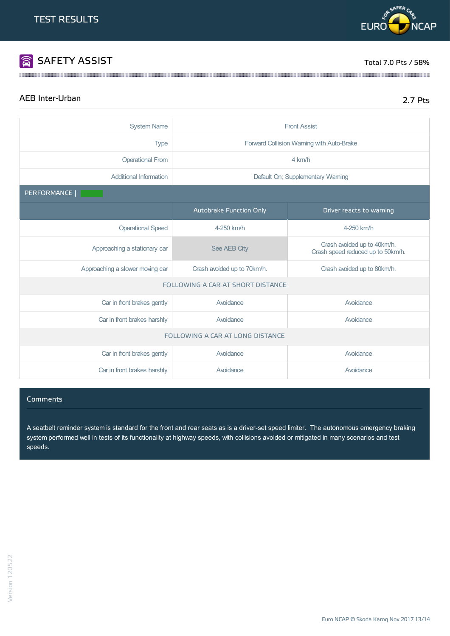# SAFETY ASSIST TOTAL TO BE A SERVED ON THE SERVED OF THE SERVED OF THE SERVED OF THE SERVED OF THE SERVED OF THE SERVED OF THE SERVED OF THE SERVED OF THE SERVED OF THE SERVED OF THE SERVED OF THE SERVED OF THE SERVED OF TH

<u> Maria Maria Maria Maria Maria Maria Maria Maria Maria Maria Maria Maria Maria Maria Maria Maria Maria Maria M</u>

# AEB Inter-Urban 2.7 Pts

| <b>System Name</b>              | <b>Front Assist</b>                                        |                                                                  |  |
|---------------------------------|------------------------------------------------------------|------------------------------------------------------------------|--|
| <b>Type</b>                     | Forward Collision Warning with Auto-Brake                  |                                                                  |  |
| <b>Operational From</b>         | 4 km/h                                                     |                                                                  |  |
| <b>Additional Information</b>   |                                                            | Default On; Supplementary Warning                                |  |
| PERFORMANCE                     |                                                            |                                                                  |  |
|                                 | Autobrake Function Only                                    | Driver reacts to warning                                         |  |
| <b>Operational Speed</b>        | 4-250 km/h                                                 | 4-250 km/h                                                       |  |
| Approaching a stationary car    | See AEB City                                               | Crash avoided up to 40km/h.<br>Crash speed reduced up to 50km/h. |  |
| Approaching a slower moving car | Crash avoided up to 70km/h.<br>Crash avoided up to 80km/h. |                                                                  |  |
|                                 | FOLLOWING A CAR AT SHORT DISTANCE                          |                                                                  |  |
| Car in front brakes gently      | Avoidance                                                  | Avoidance                                                        |  |
| Car in front brakes harshly     | Avoidance                                                  | Avoidance                                                        |  |
|                                 | FOLLOWING A CAR AT LONG DISTANCE                           |                                                                  |  |
| Car in front brakes gently      | Avoidance<br>Avoidance                                     |                                                                  |  |
| Car in front brakes harshly     | Avoidance                                                  | Avoidance                                                        |  |

#### Comments

A seatbelt reminder system is standard for the front and rear seats as is a driver-set speed limiter. The autonomous emergency braking system performed well in tests of its functionality at highway speeds, with collisions avoided or mitigated in many scenarios and test speeds.